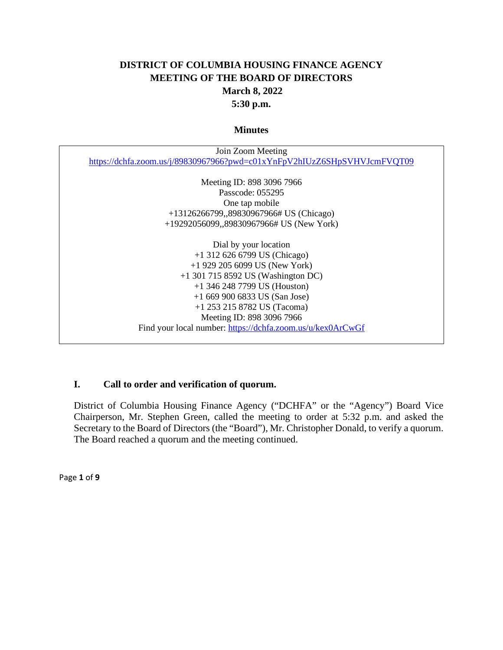# **DISTRICT OF COLUMBIA HOUSING FINANCE AGENCY MEETING OF THE BOARD OF DIRECTORS March 8, 2022 5:30 p.m.**

#### **Minutes**

| Join Zoom Meeting                                                        |
|--------------------------------------------------------------------------|
| https://dchfa.zoom.us/j/89830967966?pwd=c01xYnFpV2hIUzZ6SHpSVHVJcmFVQT09 |
|                                                                          |
| Meeting ID: 898 3096 7966                                                |
| Passcode: 055295                                                         |
| One tap mobile                                                           |
| +13126266799,,89830967966# US (Chicago)                                  |
| $+19292056099$ , 89830967966# US (New York)                              |
|                                                                          |
| Dial by your location                                                    |
| $+1$ 312 626 6799 US (Chicago)                                           |
| $+1$ 929 205 6099 US (New York)                                          |
| $+1$ 301 715 8592 US (Washington DC)                                     |
| $+1$ 346 248 7799 US (Houston)                                           |
| $+16699006833$ US (San Jose)                                             |
| $+1$ 253 215 8782 US (Tacoma)                                            |
| Meeting ID: 898 3096 7966                                                |
| Find your local number: https://dchfa.zoom.us/u/kex0ArCwGf               |
|                                                                          |

### **I. Call to order and verification of quorum.**

District of Columbia Housing Finance Agency ("DCHFA" or the "Agency") Board Vice Chairperson, Mr. Stephen Green, called the meeting to order at 5:32 p.m. and asked the Secretary to the Board of Directors (the "Board"), Mr. Christopher Donald, to verify a quorum. The Board reached a quorum and the meeting continued.

Page **1** of **9**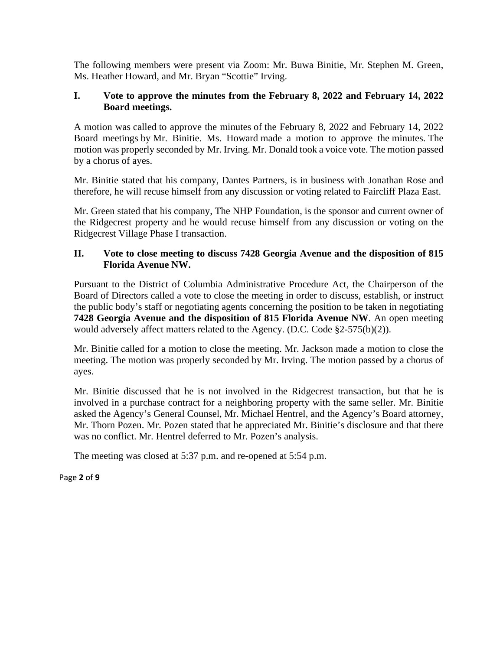The following members were present via Zoom: Mr. Buwa Binitie, Mr. Stephen M. Green, Ms. Heather Howard, and Mr. Bryan "Scottie" Irving.

### **I. Vote to approve the minutes from the February 8, 2022 and February 14, 2022 Board meetings.**

A motion was called to approve the minutes of the February 8, 2022 and February 14, 2022 Board meetings by Mr. Binitie. Ms. Howard made a motion to approve the minutes. The motion was properly seconded by Mr. Irving. Mr. Donald took a voice vote. The motion passed by a chorus of ayes.

Mr. Binitie stated that his company, Dantes Partners, is in business with Jonathan Rose and therefore, he will recuse himself from any discussion or voting related to Faircliff Plaza East.

Mr. Green stated that his company, The NHP Foundation, is the sponsor and current owner of the Ridgecrest property and he would recuse himself from any discussion or voting on the Ridgecrest Village Phase I transaction.

## **II. Vote to close meeting to discuss 7428 Georgia Avenue and the disposition of 815 Florida Avenue NW.**

Pursuant to the District of Columbia Administrative Procedure Act, the Chairperson of the Board of Directors called a vote to close the meeting in order to discuss, establish, or instruct the public body's staff or negotiating agents concerning the position to be taken in negotiating **7428 Georgia Avenue and the disposition of 815 Florida Avenue NW**. An open meeting would adversely affect matters related to the Agency. (D.C. Code §2-575(b)(2)).

Mr. Binitie called for a motion to close the meeting. Mr. Jackson made a motion to close the meeting. The motion was properly seconded by Mr. Irving. The motion passed by a chorus of ayes.

Mr. Binitie discussed that he is not involved in the Ridgecrest transaction, but that he is involved in a purchase contract for a neighboring property with the same seller. Mr. Binitie asked the Agency's General Counsel, Mr. Michael Hentrel, and the Agency's Board attorney, Mr. Thorn Pozen. Mr. Pozen stated that he appreciated Mr. Binitie's disclosure and that there was no conflict. Mr. Hentrel deferred to Mr. Pozen's analysis.

The meeting was closed at 5:37 p.m. and re-opened at 5:54 p.m.

### Page **2** of **9**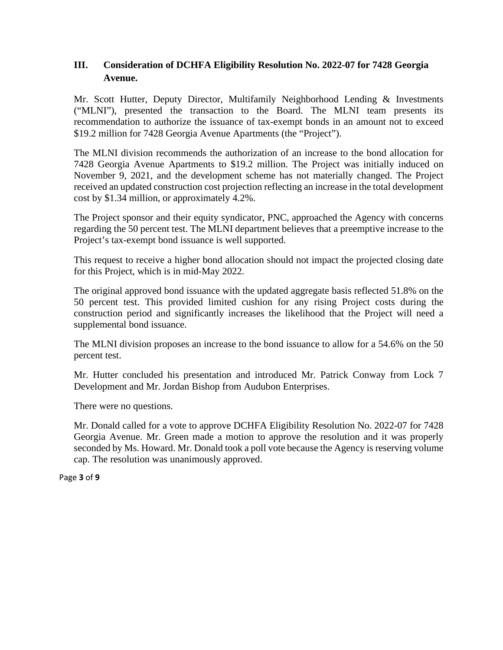## **III. Consideration of DCHFA Eligibility Resolution No. 2022-07 for 7428 Georgia Avenue.**

Mr. Scott Hutter, Deputy Director, Multifamily Neighborhood Lending & Investments ("MLNI"), presented the transaction to the Board. The MLNI team presents its recommendation to authorize the issuance of tax-exempt bonds in an amount not to exceed \$19.2 million for 7428 Georgia Avenue Apartments (the "Project").

The MLNI division recommends the authorization of an increase to the bond allocation for 7428 Georgia Avenue Apartments to \$19.2 million. The Project was initially induced on November 9, 2021, and the development scheme has not materially changed. The Project received an updated construction cost projection reflecting an increase in the total development cost by \$1.34 million, or approximately 4.2%.

The Project sponsor and their equity syndicator, PNC, approached the Agency with concerns regarding the 50 percent test. The MLNI department believes that a preemptive increase to the Project's tax-exempt bond issuance is well supported.

This request to receive a higher bond allocation should not impact the projected closing date for this Project, which is in mid-May 2022.

The original approved bond issuance with the updated aggregate basis reflected 51.8% on the 50 percent test. This provided limited cushion for any rising Project costs during the construction period and significantly increases the likelihood that the Project will need a supplemental bond issuance.

The MLNI division proposes an increase to the bond issuance to allow for a 54.6% on the 50 percent test.

Mr. Hutter concluded his presentation and introduced Mr. Patrick Conway from Lock 7 Development and Mr. Jordan Bishop from Audubon Enterprises.

There were no questions.

Mr. Donald called for a vote to approve DCHFA Eligibility Resolution No. 2022-07 for 7428 Georgia Avenue. Mr. Green made a motion to approve the resolution and it was properly seconded by Ms. Howard. Mr. Donald took a poll vote because the Agency is reserving volume cap. The resolution was unanimously approved.

Page **3** of **9**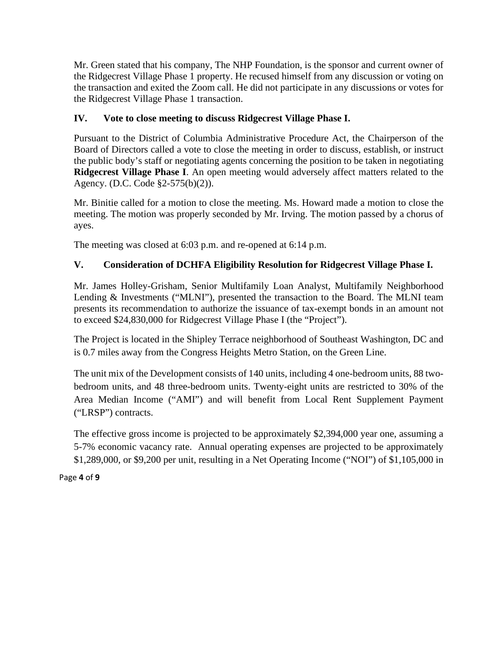Mr. Green stated that his company, The NHP Foundation, is the sponsor and current owner of the Ridgecrest Village Phase 1 property. He recused himself from any discussion or voting on the transaction and exited the Zoom call. He did not participate in any discussions or votes for the Ridgecrest Village Phase 1 transaction.

# **IV. Vote to close meeting to discuss Ridgecrest Village Phase I.**

Pursuant to the District of Columbia Administrative Procedure Act, the Chairperson of the Board of Directors called a vote to close the meeting in order to discuss, establish, or instruct the public body's staff or negotiating agents concerning the position to be taken in negotiating **Ridgecrest Village Phase I**. An open meeting would adversely affect matters related to the Agency. (D.C. Code §2-575(b)(2)).

Mr. Binitie called for a motion to close the meeting. Ms. Howard made a motion to close the meeting. The motion was properly seconded by Mr. Irving. The motion passed by a chorus of ayes.

The meeting was closed at 6:03 p.m. and re-opened at 6:14 p.m.

# **V. Consideration of DCHFA Eligibility Resolution for Ridgecrest Village Phase I.**

Mr. James Holley-Grisham, Senior Multifamily Loan Analyst, Multifamily Neighborhood Lending & Investments ("MLNI"), presented the transaction to the Board. The MLNI team presents its recommendation to authorize the issuance of tax-exempt bonds in an amount not to exceed \$24,830,000 for Ridgecrest Village Phase I (the "Project").

The Project is located in the Shipley Terrace neighborhood of Southeast Washington, DC and is 0.7 miles away from the Congress Heights Metro Station, on the Green Line.

The unit mix of the Development consists of 140 units, including 4 one-bedroom units, 88 twobedroom units, and 48 three-bedroom units. Twenty-eight units are restricted to 30% of the Area Median Income ("AMI") and will benefit from Local Rent Supplement Payment ("LRSP") contracts.

The effective gross income is projected to be approximately \$2,394,000 year one, assuming a 5-7% economic vacancy rate. Annual operating expenses are projected to be approximately \$1,289,000, or \$9,200 per unit, resulting in a Net Operating Income ("NOI") of \$1,105,000 in

### Page **4** of **9**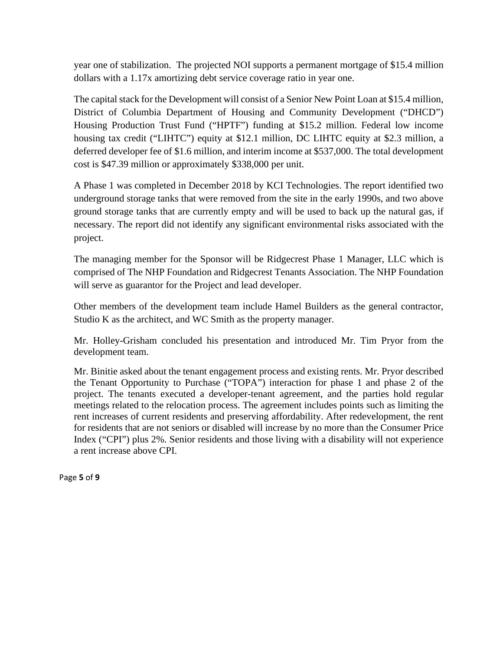year one of stabilization. The projected NOI supports a permanent mortgage of \$15.4 million dollars with a 1.17x amortizing debt service coverage ratio in year one.

The capital stack for the Development will consist of a Senior New Point Loan at \$15.4 million, District of Columbia Department of Housing and Community Development ("DHCD") Housing Production Trust Fund ("HPTF") funding at \$15.2 million. Federal low income housing tax credit ("LIHTC") equity at \$12.1 million, DC LIHTC equity at \$2.3 million, a deferred developer fee of \$1.6 million, and interim income at \$537,000. The total development cost is \$47.39 million or approximately \$338,000 per unit.

A Phase 1 was completed in December 2018 by KCI Technologies. The report identified two underground storage tanks that were removed from the site in the early 1990s, and two above ground storage tanks that are currently empty and will be used to back up the natural gas, if necessary. The report did not identify any significant environmental risks associated with the project.

The managing member for the Sponsor will be Ridgecrest Phase 1 Manager, LLC which is comprised of The NHP Foundation and Ridgecrest Tenants Association. The NHP Foundation will serve as guarantor for the Project and lead developer.

Other members of the development team include Hamel Builders as the general contractor, Studio K as the architect, and WC Smith as the property manager.

Mr. Holley-Grisham concluded his presentation and introduced Mr. Tim Pryor from the development team.

Mr. Binitie asked about the tenant engagement process and existing rents. Mr. Pryor described the Tenant Opportunity to Purchase ("TOPA") interaction for phase 1 and phase 2 of the project. The tenants executed a developer-tenant agreement, and the parties hold regular meetings related to the relocation process. The agreement includes points such as limiting the rent increases of current residents and preserving affordability. After redevelopment, the rent for residents that are not seniors or disabled will increase by no more than the Consumer Price Index ("CPI") plus 2%. Senior residents and those living with a disability will not experience a rent increase above CPI.

Page **5** of **9**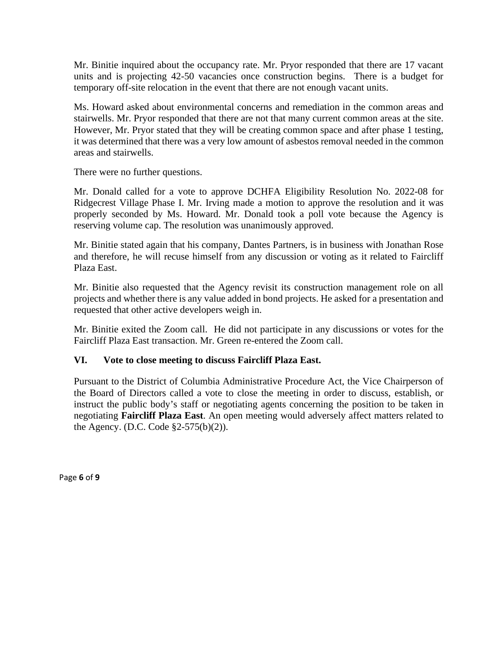Mr. Binitie inquired about the occupancy rate. Mr. Pryor responded that there are 17 vacant units and is projecting 42-50 vacancies once construction begins. There is a budget for temporary off-site relocation in the event that there are not enough vacant units.

Ms. Howard asked about environmental concerns and remediation in the common areas and stairwells. Mr. Pryor responded that there are not that many current common areas at the site. However, Mr. Pryor stated that they will be creating common space and after phase 1 testing, it was determined that there was a very low amount of asbestos removal needed in the common areas and stairwells.

There were no further questions.

Mr. Donald called for a vote to approve DCHFA Eligibility Resolution No. 2022-08 for Ridgecrest Village Phase I. Mr. Irving made a motion to approve the resolution and it was properly seconded by Ms. Howard. Mr. Donald took a poll vote because the Agency is reserving volume cap. The resolution was unanimously approved.

Mr. Binitie stated again that his company, Dantes Partners, is in business with Jonathan Rose and therefore, he will recuse himself from any discussion or voting as it related to Faircliff Plaza East.

Mr. Binitie also requested that the Agency revisit its construction management role on all projects and whether there is any value added in bond projects. He asked for a presentation and requested that other active developers weigh in.

Mr. Binitie exited the Zoom call. He did not participate in any discussions or votes for the Faircliff Plaza East transaction. Mr. Green re-entered the Zoom call.

## **VI. Vote to close meeting to discuss Faircliff Plaza East.**

Pursuant to the District of Columbia Administrative Procedure Act, the Vice Chairperson of the Board of Directors called a vote to close the meeting in order to discuss, establish, or instruct the public body's staff or negotiating agents concerning the position to be taken in negotiating **Faircliff Plaza East**. An open meeting would adversely affect matters related to the Agency. (D.C. Code §2-575(b)(2)).

Page **6** of **9**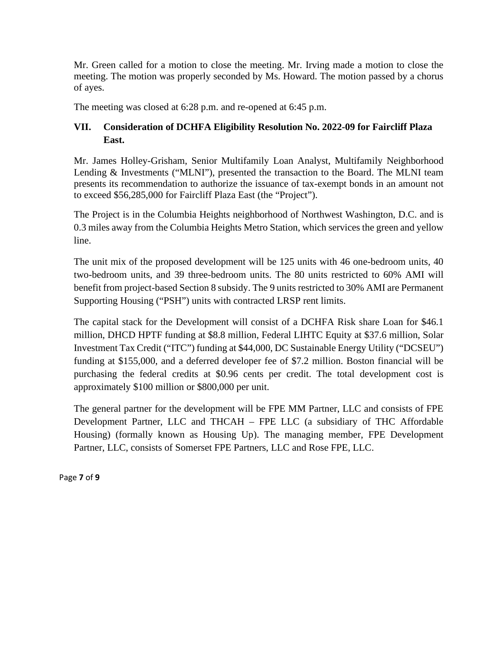Mr. Green called for a motion to close the meeting. Mr. Irving made a motion to close the meeting. The motion was properly seconded by Ms. Howard. The motion passed by a chorus of ayes.

The meeting was closed at 6:28 p.m. and re-opened at 6:45 p.m.

## **VII. Consideration of DCHFA Eligibility Resolution No. 2022-09 for Faircliff Plaza East.**

Mr. James Holley-Grisham, Senior Multifamily Loan Analyst, Multifamily Neighborhood Lending & Investments ("MLNI"), presented the transaction to the Board. The MLNI team presents its recommendation to authorize the issuance of tax-exempt bonds in an amount not to exceed \$56,285,000 for Faircliff Plaza East (the "Project").

The Project is in the Columbia Heights neighborhood of Northwest Washington, D.C. and is 0.3 miles away from the Columbia Heights Metro Station, which services the green and yellow line.

The unit mix of the proposed development will be 125 units with 46 one-bedroom units, 40 two-bedroom units, and 39 three-bedroom units. The 80 units restricted to 60% AMI will benefit from project-based Section 8 subsidy. The 9 units restricted to 30% AMI are Permanent Supporting Housing ("PSH") units with contracted LRSP rent limits.

The capital stack for the Development will consist of a DCHFA Risk share Loan for \$46.1 million, DHCD HPTF funding at \$8.8 million, Federal LIHTC Equity at \$37.6 million, Solar Investment Tax Credit ("ITC") funding at \$44,000, DC Sustainable Energy Utility ("DCSEU") funding at \$155,000, and a deferred developer fee of \$7.2 million. Boston financial will be purchasing the federal credits at \$0.96 cents per credit. The total development cost is approximately \$100 million or \$800,000 per unit.

The general partner for the development will be FPE MM Partner, LLC and consists of FPE Development Partner, LLC and THCAH – FPE LLC (a subsidiary of THC Affordable Housing) (formally known as Housing Up). The managing member, FPE Development Partner, LLC, consists of Somerset FPE Partners, LLC and Rose FPE, LLC.

Page **7** of **9**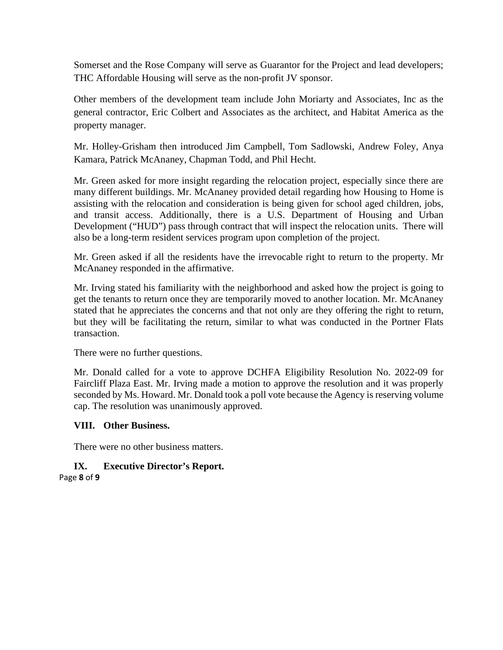Somerset and the Rose Company will serve as Guarantor for the Project and lead developers; THC Affordable Housing will serve as the non-profit JV sponsor.

Other members of the development team include John Moriarty and Associates, Inc as the general contractor, Eric Colbert and Associates as the architect, and Habitat America as the property manager.

Mr. Holley-Grisham then introduced Jim Campbell, Tom Sadlowski, Andrew Foley, Anya Kamara, Patrick McAnaney, Chapman Todd, and Phil Hecht.

Mr. Green asked for more insight regarding the relocation project, especially since there are many different buildings. Mr. McAnaney provided detail regarding how Housing to Home is assisting with the relocation and consideration is being given for school aged children, jobs, and transit access. Additionally, there is a U.S. Department of Housing and Urban Development ("HUD") pass through contract that will inspect the relocation units. There will also be a long-term resident services program upon completion of the project.

Mr. Green asked if all the residents have the irrevocable right to return to the property. Mr McAnaney responded in the affirmative.

Mr. Irving stated his familiarity with the neighborhood and asked how the project is going to get the tenants to return once they are temporarily moved to another location. Mr. McAnaney stated that he appreciates the concerns and that not only are they offering the right to return, but they will be facilitating the return, similar to what was conducted in the Portner Flats transaction.

There were no further questions.

Mr. Donald called for a vote to approve DCHFA Eligibility Resolution No. 2022-09 for Faircliff Plaza East. Mr. Irving made a motion to approve the resolution and it was properly seconded by Ms. Howard. Mr. Donald took a poll vote because the Agency is reserving volume cap. The resolution was unanimously approved.

### **VIII. Other Business.**

There were no other business matters.

# **IX. Executive Director's Report.**

Page **8** of **9**